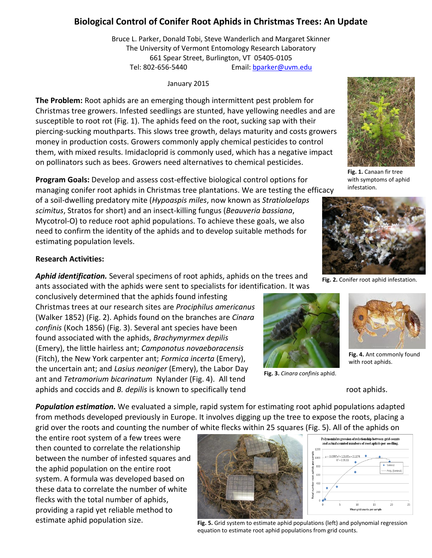# **Biological Control of Conifer Root Aphids in Christmas Trees: An Update**

Bruce L. Parker, Donald Tobi, Steve Wanderlich and Margaret Skinner The University of Vermont Entomology Research Laboratory 661 Spear Street, Burlington, VT 05405-0105 Tel: 802-656-5440 Email: [bparker@uvm.edu](mailto:bparker@uvm.edu)

January 2015

**The Problem:** Root aphids are an emerging though intermittent pest problem for Christmas tree growers. Infested seedlings are stunted, have yellowing needles and are susceptible to root rot (Fig. 1). The aphids feed on the root, sucking sap with their piercing-sucking mouthparts. This slows tree growth, delays maturity and costs growers money in production costs. Growers commonly apply chemical pesticides to control them, with mixed results. Imidacloprid is commonly used, which has a negative impact on pollinators such as bees. Growers need alternatives to chemical pesticides.

**Program Goals:** Develop and assess cost-effective biological control options for managing conifer root aphids in Christmas tree plantations. We are testing the efficacy

of a soil-dwelling predatory mite (*Hypoaspis miles*, now known as *Stratiolaelaps scimitus*, Stratos for short) and an insect-killing fungus (*Beauveria bassiana*, Mycotrol-O) to reduce root aphid populations. To achieve these goals, we also need to confirm the identity of the aphids and to develop suitable methods for estimating population levels.

### **Research Activities:**

*Aphid identification.* Several specimens of root aphids, aphids on the trees and ants associated with the aphids were sent to specialists for identification. It was

conclusively determined that the aphids found infesting Christmas trees at our research sites are *Prociphilus americanus* (Walker 1852) (Fig. 2). Aphids found on the branches are *Cinara confinis* (Koch 1856) (Fig. 3). Several ant species have been found associated with the aphids, *Brachymyrmex depilis*  (Emery), the little hairless ant; *Camponotus novaeboracensis*  (Fitch), the New York carpenter ant; *Formica incerta* (Emery), the uncertain ant; and *Lasius neoniger* (Emery), the Labor Day ant and *Tetramorium bicarinatum* Nylander (Fig. 4). All tend aphids and coccids and *B. depilis* is known to specifically tend root aphids.



**Fig. 3.** *Cinara confinis* aphid.



**Fig. 1.** Canaan fir tree with symptoms of aphid infestation.



**Fig. 2.** Conifer root aphid infestation.



**Fig. 4.** Ant commonly found with root aphids.

*Population estimation.* We evaluated a simple, rapid system for estimating root aphid populations adapted from methods developed previously in Europe. It involves digging up the tree to expose the roots, placing a grid over the roots and counting the number of white flecks within 25 squares (Fig. 5). All of the aphids on

the entire root system of a few trees were then counted to correlate the relationship between the number of infested squares and the aphid population on the entire root system. A formula was developed based on these data to correlate the number of white flecks with the total number of aphids, providing a rapid yet reliable method to estimate aphid population size.



**Fig. 5.** Grid system to estimate aphid populations (left) and polynomial regression equation to estimate root aphid populations from grid counts.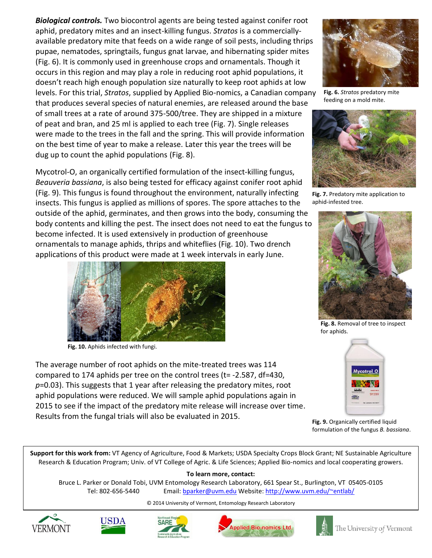*Biological controls.* Two biocontrol agents are being tested against conifer root aphid, predatory mites and an insect-killing fungus. *Stratos* is a commerciallyavailable predatory mite that feeds on a wide range of soil pests, including thrips pupae, nematodes, springtails, fungus gnat larvae, and hibernating spider mites (Fig. 6). It is commonly used in greenhouse crops and ornamentals. Though it occurs in this region and may play a role in reducing root aphid populations, it doesn't reach high enough population size naturally to keep root aphids at low levels. For this trial, *Stratos*, supplied by Applied Bio-nomics, a Canadian company that produces several species of natural enemies, are released around the base of small trees at a rate of around 375-500/tree. They are shipped in a mixture of peat and bran, and 25 ml is applied to each tree (Fig. 7). Single releases were made to the trees in the fall and the spring. This will provide information on the best time of year to make a release. Later this year the trees will be dug up to count the aphid populations (Fig. 8).

Mycotrol-O, an organically certified formulation of the insect-killing fungus, *Beauveria bassiana*, is also being tested for efficacy against conifer root aphid (Fig. 9). This fungus is found throughout the environment, naturally infecting insects. This fungus is applied as millions of spores. The spore attaches to the outside of the aphid, germinates, and then grows into the body, consuming the body contents and killing the pest. The insect does not need to eat the fungus to become infected. It is used extensively in production of greenhouse ornamentals to manage aphids, thrips and whiteflies (Fig. 10). Two drench applications of this product were made at 1 week intervals in early June.



**Fig. 10.** Aphids infected with fungi.

The average number of root aphids on the mite-treated trees was 114 compared to 174 aphids per tree on the control trees (t= -2.587, df=430, *p*=0.03). This suggests that 1 year after releasing the predatory mites, root aphid populations were reduced. We will sample aphid populations again in 2015 to see if the impact of the predatory mite release will increase over time. Results from the fungal trials will also be evaluated in 2015.



**Fig. 6.** *Stratos* predatory mite feeding on a mold mite.



**Fig. 7.** Predatory mite application to aphid-infested tree.



**Fig. 8.** Removal of tree to inspect for aphids.



**Fig. 9.** Organically certified liquid formulation of the fungus *B. bassiana*.

**Support for this work from:** VT Agency of Agriculture, Food & Markets; USDA Specialty Crops Block Grant; NE Sustainable Agriculture Research & Education Program; Univ. of VT College of Agric. & Life Sciences; Applied Bio-nomics and local cooperating growers. 

**To learn more, contact:**  Bruce L. Parker or Donald Tobi, UVM Entomology Research Laboratory, 661 Spear St., Burlington, VT 05405-0105 Tel: 802-656-5440 Email: [bparker@uvm.edu](mailto:bparker@uvm.edu) Website[: http://www.uvm.edu/~entlab/](http://www.uvm.edu/~entlab/)

#### © 2014 University of Vermont, Entomology Research Laboratory









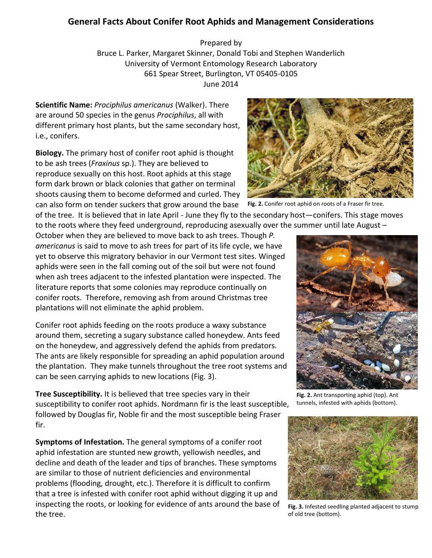## **General Facts About Conifer Root Aphids and Management Considerations**

Prepared by Bruce L. Parker, Margaret Skinner, Donald Tobi and Stephen Wanderlich University of Vermont Entomology Research Laboratory 661 Spear Street, Burlington, VT 05405-0105 June 2014

**Scientific Name:** *Prociphilus americanus* (Walker). There are around 50 species in the genus *Prociphilus*, all with different primary host plants, but the same secondary host, i.e., conifers.

**Biology.** The primary host of conifer root aphid is thought to be ash trees (*Fraxinus* sp.). They are believed to reproduce sexually on this host. Root aphids at this stage form dark brown or black colonies that gather on terminal shoots causing them to become deformed and curled. They can also form on tender suckers that grow around the base

of the tree. It is believed that in late April - June they fly to the secondary host—conifers. This stage moves to the roots where they feed underground, reproducing asexually over the summer until late August –

October when they are believed to move back to ash trees. Though *P. americanus* is said to move to ash trees for part of its life cycle, we have yet to observe this migratory behavior in our Vermont test sites. Winged aphids were seen in the fall coming out of the soil but were not found when ash trees adjacent to the infested plantation were inspected. The literature reports that some colonies may reproduce continually on conifer roots. Therefore, removing ash from around Christmas tree plantations will not eliminate the aphid problem.

Conifer root aphids feeding on the roots produce a waxy substance around them, secreting a sugary substance called honeydew. Ants feed on the honeydew, and aggressively defend the aphids from predators. The ants are likely responsible for spreading an aphid population around the plantation. They make tunnels throughout the tree root systems and can be seen carrying aphids to new locations (Fig. 3).

**Tree Susceptibility.** It is believed that tree species vary in their susceptibility to conifer root aphids. Nordmann fir is the least susceptible, followed by Douglas fir, Noble fir and the most susceptible being Fraser fir.

**Symptoms of Infestation.** The general symptoms of a conifer root aphid infestation are stunted new growth, yellowish needles, and decline and death of the leader and tips of branches. These symptoms are similar to those of nutrient deficiencies and environmental problems (flooding, drought, etc.). Therefore it is difficult to confirm that a tree is infested with conifer root aphid without digging it up and inspecting the roots, or looking for evidence of ants around the base of the tree.



**Fig. 2.** Conifer root aphid on roots of a Fraser fir tree.



**Fig. 2.** Ant transporting aphid (top). Ant tunnels, infested with aphids (bottom).



**Fig. 3.** Infested seedling planted adjacent to stump of old tree (bottom).